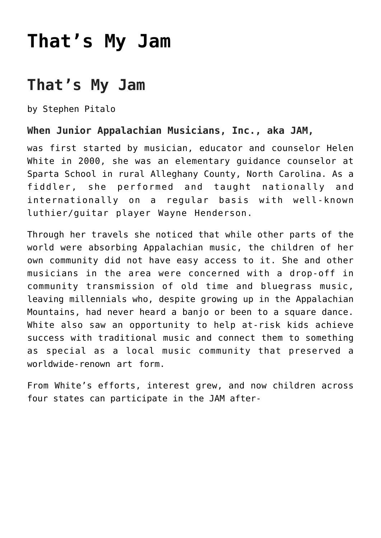## **[That's My Jam](https://thebluegrassstandard.com/thats-my-jam/)**

## **That's My Jam**

by Stephen Pitalo

## **When Junior Appalachian Musicians, Inc., aka JAM,**

was first started by musician, educator and counselor Helen White in 2000, she was an elementary guidance counselor at Sparta School in rural Alleghany County, North Carolina. As a fiddler, she performed and taught nationally and internationally on a regular basis with well-known luthier/guitar player Wayne Henderson.

Through her travels she noticed that while other parts of the world were absorbing Appalachian music, the children of her own community did not have easy access to it. She and other musicians in the area were concerned with a drop-off in community transmission of old time and bluegrass music, leaving millennials who, despite growing up in the Appalachian Mountains, had never heard a banjo or been to a square dance. White also saw an opportunity to help at-risk kids achieve success with traditional music and connect them to something as special as a local music community that preserved a worldwide-renown art form.

From White's efforts, interest grew, and now children across four states can participate in the JAM after-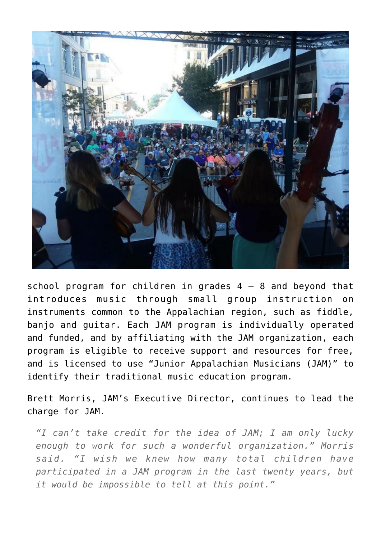

school program for children in grades  $4 - 8$  and beyond that introduces music through small group instruction on instruments common to the Appalachian region, such as fiddle, banjo and guitar. Each JAM program is individually operated and funded, and by affiliating with the JAM organization, each program is eligible to receive support and resources for free, and is licensed to use "Junior Appalachian Musicians (JAM)" to identify their traditional music education program.

Brett Morris, JAM's Executive Director, continues to lead the charge for JAM.

*"I can't take credit for the idea of JAM; I am only lucky enough to work for such a wonderful organization." Morris said. "I wish we knew how many total children have participated in a JAM program in the last twenty years, but it would be impossible to tell at this point."*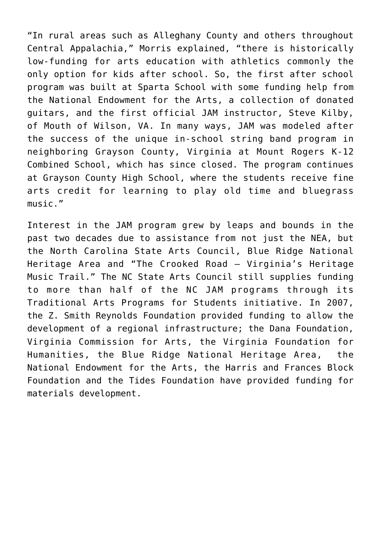"In rural areas such as Alleghany County and others throughout Central Appalachia," Morris explained, "there is historically low-funding for arts education with athletics commonly the only option for kids after school. So, the first after school program was built at Sparta School with some funding help from the National Endowment for the Arts, a collection of donated guitars, and the first official JAM instructor, Steve Kilby, of Mouth of Wilson, VA. In many ways, JAM was modeled after the success of the unique in-school string band program in neighboring Grayson County, Virginia at Mount Rogers K-12 Combined School, which has since closed. The program continues at Grayson County High School, where the students receive fine arts credit for learning to play old time and bluegrass music."

Interest in the JAM program grew by leaps and bounds in the past two decades due to assistance from not just the NEA, but the North Carolina State Arts Council, Blue Ridge National Heritage Area and "The Crooked Road – Virginia's Heritage Music Trail." The NC State Arts Council still supplies funding to more than half of the NC JAM programs through its Traditional Arts Programs for Students initiative. In 2007, the Z. Smith Reynolds Foundation provided funding to allow the development of a regional infrastructure; the Dana Foundation, Virginia Commission for Arts, the Virginia Foundation for Humanities, the Blue Ridge National Heritage Area, the National Endowment for the Arts, the Harris and Frances Block Foundation and the Tides Foundation have provided funding for materials development.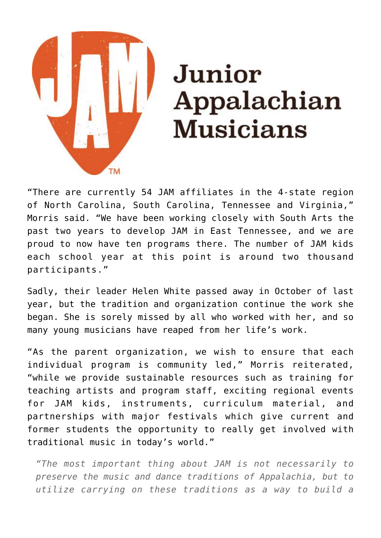

## Junior Appalachian **Musicians**

"There are currently 54 JAM affiliates in the 4-state region of North Carolina, South Carolina, Tennessee and Virginia," Morris said. "We have been working closely with South Arts the past two years to develop JAM in East Tennessee, and we are proud to now have ten programs there. The number of JAM kids each school year at this point is around two thousand participants."

Sadly, their leader Helen White passed away in October of last year, but the tradition and organization continue the work she began. She is sorely missed by all who worked with her, and so many young musicians have reaped from her life's work.

"As the parent organization, we wish to ensure that each individual program is community led," Morris reiterated, "while we provide sustainable resources such as training for teaching artists and program staff, exciting regional events for JAM kids, instruments, curriculum material, and partnerships with major festivals which give current and former students the opportunity to really get involved with traditional music in today's world."

*"The most important thing about JAM is not necessarily to preserve the music and dance traditions of Appalachia, but to utilize carrying on these traditions as a way to build a*